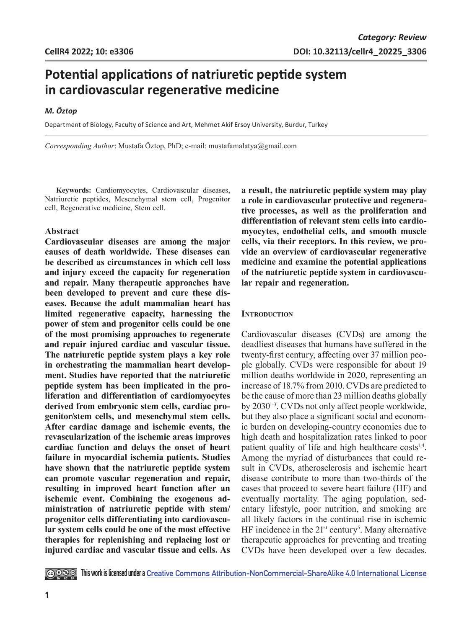# **Potential applications of natriuretic peptide system in cardiovascular regenerative medicine**

## *M. Öztop*

Department of Biology, Faculty of Science and Art, Mehmet Akif Ersoy University, Burdur, Turkey

*Corresponding Author*: Mustafa Öztop, PhD; e-mail: mustafamalatya@gmail.com

**Keywords:** Cardiomyocytes, Cardiovascular diseases, Natriuretic peptides, Mesenchymal stem cell, Progenitor cell, Regenerative medicine, Stem cell.

# **Abstract**

**Cardiovascular diseases are among the major causes of death worldwide. These diseases can be described as circumstances in which cell loss and injury exceed the capacity for regeneration and repair. Many therapeutic approaches have been developed to prevent and cure these diseases. Because the adult mammalian heart has limited regenerative capacity, harnessing the power of stem and progenitor cells could be one of the most promising approaches to regenerate and repair injured cardiac and vascular tissue. The natriuretic peptide system plays a key role in orchestrating the mammalian heart development. Studies have reported that the natriuretic peptide system has been implicated in the proliferation and differentiation of cardiomyocytes derived from embryonic stem cells, cardiac progenitor/stem cells, and mesenchymal stem cells. After cardiac damage and ischemic events, the revascularization of the ischemic areas improves cardiac function and delays the onset of heart failure in myocardial ischemia patients. Studies have shown that the natriuretic peptide system can promote vascular regeneration and repair, resulting in improved heart function after an ischemic event. Combining the exogenous administration of natriuretic peptide with stem/ progenitor cells differentiating into cardiovascular system cells could be one of the most effective therapies for replenishing and replacing lost or injured cardiac and vascular tissue and cells. As** 

**a result, the natriuretic peptide system may play a role in cardiovascular protective and regenerative processes, as well as the proliferation and differentiation of relevant stem cells into cardiomyocytes, endothelial cells, and smooth muscle cells, via their receptors. In this review, we provide an overview of cardiovascular regenerative medicine and examine the potential applications of the natriuretic peptide system in cardiovascular repair and regeneration.**

## **INTRODUCTION**

Cardiovascular diseases (CVDs) are among the deadliest diseases that humans have suffered in the twenty-first century, affecting over 37 million people globally. CVDs were responsible for about 19 million deaths worldwide in 2020, representing an increase of 18.7% from 2010. CVDs are predicted to be the cause of more than 23 million deaths globally by 20301-3. CVDs not only affect people worldwide, but they also place a significant social and economic burden on developing-country economies due to high death and hospitalization rates linked to poor patient quality of life and high healthcare  $costs^{1,4}$ . Among the myriad of disturbances that could result in CVDs, atherosclerosis and ischemic heart disease contribute to more than two-thirds of the cases that proceed to severe heart failure (HF) and eventually mortality. The aging population, sedentary lifestyle, poor nutrition, and smoking are all likely factors in the continual rise in ischemic HF incidence in the  $21^{st}$  century<sup>5</sup>. Many alternative therapeutic approaches for preventing and treating CVDs have been developed over a few decades.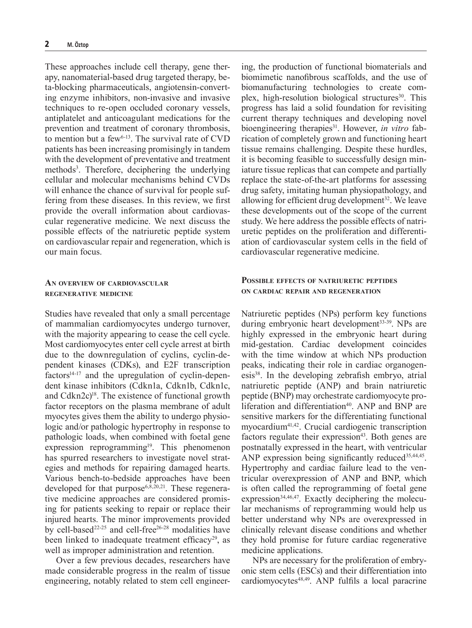These approaches include cell therapy, gene therapy, nanomaterial-based drug targeted therapy, beta-blocking pharmaceuticals, angiotensin-converting enzyme inhibitors, non-invasive and invasive techniques to re-open occluded coronary vessels, antiplatelet and anticoagulant medications for the prevention and treatment of coronary thrombosis, to mention but a few $6-13$ . The survival rate of CVD patients has been increasing promisingly in tandem with the development of preventative and treatment methods<sup>3</sup>. Therefore, deciphering the underlying cellular and molecular mechanisms behind CVDs will enhance the chance of survival for people suffering from these diseases. In this review, we first provide the overall information about cardiovascular regenerative medicine. We next discuss the possible effects of the natriuretic peptide system on cardiovascular repair and regeneration, which is our main focus.

# **An overview of cardiovascular regenerative medicine**

Studies have revealed that only a small percentage of mammalian cardiomyocytes undergo turnover, with the majority appearing to cease the cell cycle. Most cardiomyocytes enter cell cycle arrest at birth due to the downregulation of cyclins, cyclin-dependent kinases (CDKs), and E2F transcription  $factors<sup>14-17</sup>$  and the upregulation of cyclin-dependent kinase inhibitors (Cdkn1a, Cdkn1b, Cdkn1c, and Cdkn2c)<sup>18</sup>. The existence of functional growth factor receptors on the plasma membrane of adult myocytes gives them the ability to undergo physiologic and/or pathologic hypertrophy in response to pathologic loads, when combined with foetal gene expression reprogramming<sup>19</sup>. This phenomenon has spurred researchers to investigate novel strategies and methods for repairing damaged hearts. Various bench-to-bedside approaches have been developed for that  $\text{purpose}^{6,8,20,21}$ . These regenerative medicine approaches are considered promising for patients seeking to repair or replace their injured hearts. The minor improvements provided by cell-based<sup>22-25</sup> and cell-free<sup>26-28</sup> modalities have been linked to inadequate treatment efficacy<sup>29</sup>, as well as improper administration and retention.

Over a few previous decades, researchers have made considerable progress in the realm of tissue engineering, notably related to stem cell engineer-

ing, the production of functional biomaterials and biomimetic nanofibrous scaffolds, and the use of biomanufacturing technologies to create complex, high-resolution biological structures<sup>30</sup>. This progress has laid a solid foundation for revisiting current therapy techniques and developing novel bioengineering therapies<sup>31</sup>. However, *in vitro* fabrication of completely grown and functioning heart tissue remains challenging. Despite these hurdles, it is becoming feasible to successfully design miniature tissue replicas that can compete and partially replace the state-of-the-art platforms for assessing drug safety, imitating human physiopathology, and allowing for efficient drug development $32$ . We leave these developments out of the scope of the current study. We here address the possible effects of natriuretic peptides on the proliferation and differentiation of cardiovascular system cells in the field of cardiovascular regenerative medicine.

# **Possible effects of natriuretic peptides on cardiac repair and regeneration**

Natriuretic peptides (NPs) perform key functions during embryonic heart development<sup>33-39</sup>. NPs are highly expressed in the embryonic heart during mid-gestation. Cardiac development coincides with the time window at which NPs production peaks, indicating their role in cardiac organogenesis38. In the developing zebrafish embryo, atrial natriuretic peptide (ANP) and brain natriuretic peptide (BNP) may orchestrate cardiomyocyte proliferation and differentiation<sup>40</sup>. ANP and BNP are sensitive markers for the differentiating functional myocardium<sup>41,42</sup>. Crucial cardiogenic transcription factors regulate their expression<sup>43</sup>. Both genes are postnatally expressed in the heart, with ventricular ANP expression being significantly reduced  $35,44,45$ . Hypertrophy and cardiac failure lead to the ventricular overexpression of ANP and BNP, which is often called the reprogramming of foetal gene  $expression<sup>34,46,47</sup>$ . Exactly deciphering the molecular mechanisms of reprogramming would help us better understand why NPs are overexpressed in clinically relevant disease conditions and whether they hold promise for future cardiac regenerative medicine applications.

NPs are necessary for the proliferation of embryonic stem cells (ESCs) and their differentiation into cardiomyocytes<sup>48,49</sup>. ANP fulfils a local paracrine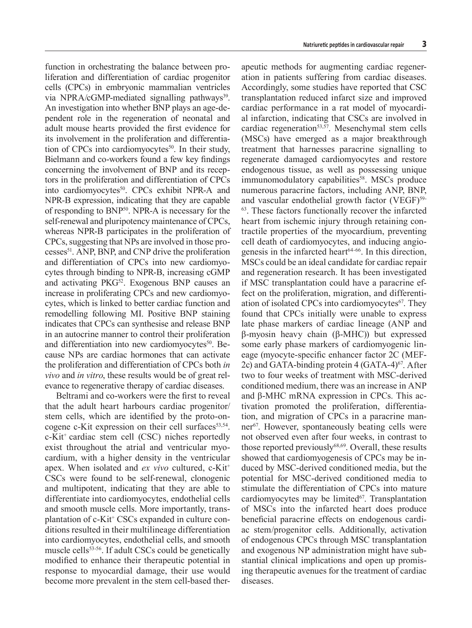function in orchestrating the balance between proliferation and differentiation of cardiac progenitor cells (CPCs) in embryonic mammalian ventricles via NPRA/cGMP-mediated signalling pathways<sup>39</sup>. An investigation into whether BNP plays an age-dependent role in the regeneration of neonatal and adult mouse hearts provided the first evidence for its involvement in the proliferation and differentiation of CPCs into cardiomyocytes $50$ . In their study, Bielmann and co-workers found a few key findings concerning the involvement of BNP and its receptors in the proliferation and differentiation of CPCs into cardiomyocytes<sup>50</sup>. CPCs exhibit NPR-A and NPR-B expression, indicating that they are capable of responding to BNP50. NPR-A is necessary for the self-renewal and pluripotency maintenance of CPCs, whereas NPR-B participates in the proliferation of CPCs, suggesting that NPs are involved in those processes51. ANP, BNP, and CNP drive the proliferation and differentiation of CPCs into new cardiomyocytes through binding to NPR-B, increasing cGMP and activating PKG<sup>52</sup>. Exogenous BNP causes an increase in proliferating CPCs and new cardiomyocytes, which is linked to better cardiac function and remodelling following MI. Positive BNP staining indicates that CPCs can synthesise and release BNP in an autocrine manner to control their proliferation and differentiation into new cardiomyocytes<sup>50</sup>. Because NPs are cardiac hormones that can activate the proliferation and differentiation of CPCs both *in vivo* and *in vitro*, these results would be of great relevance to regenerative therapy of cardiac diseases.

Beltrami and co-workers were the first to reveal that the adult heart harbours cardiac progenitor/ stem cells, which are identified by the proto-oncogene c-Kit expression on their cell surfaces $53,54$ . c-Kit+ cardiac stem cell (CSC) niches reportedly exist throughout the atrial and ventricular myocardium, with a higher density in the ventricular apex. When isolated and *ex vivo* cultured, c-Kit<sup>+</sup> CSCs were found to be self-renewal, clonogenic and multipotent, indicating that they are able to differentiate into cardiomyocytes, endothelial cells and smooth muscle cells. More importantly, transplantation of c-Kit<sup>+</sup> CSCs expanded in culture conditions resulted in their multilineage differentiation into cardiomyocytes, endothelial cells, and smooth muscle cells<sup>53-56</sup>. If adult CSCs could be genetically modified to enhance their therapeutic potential in response to myocardial damage, their use would become more prevalent in the stem cell-based therapeutic methods for augmenting cardiac regeneration in patients suffering from cardiac diseases. Accordingly, some studies have reported that CSC transplantation reduced infarct size and improved cardiac performance in a rat model of myocardial infarction, indicating that CSCs are involved in cardiac regeneration<sup>53,57</sup>. Mesenchymal stem cells (MSCs) have emerged as a major breakthrough treatment that harnesses paracrine signalling to regenerate damaged cardiomyocytes and restore endogenous tissue, as well as possessing unique immunomodulatory capabilities<sup>58</sup>. MSCs produce numerous paracrine factors, including ANP, BNP, and vascular endothelial growth factor (VEGF)<sup>59-</sup> <sup>63</sup>. These factors functionally recover the infarcted heart from ischemic injury through retaining contractile properties of the myocardium, preventing cell death of cardiomyocytes, and inducing angiogenesis in the infarcted heart<sup> $64-66$ </sup>. In this direction, MSCs could be an ideal candidate for cardiac repair and regeneration research. It has been investigated if MSC transplantation could have a paracrine effect on the proliferation, migration, and differentiation of isolated CPCs into cardiomyocytes<sup>67</sup>. They found that CPCs initially were unable to express late phase markers of cardiac lineage (ANP and β-myosin heavy chain (β-MHC)) but expressed some early phase markers of cardiomyogenic lineage (myocyte-specific enhancer factor 2C (MEF-2c) and GATA-binding protein  $4$  (GATA- $4$ )<sup>67</sup>. After two to four weeks of treatment with MSC-derived conditioned medium, there was an increase in ANP and β-MHC mRNA expression in CPCs. This activation promoted the proliferation, differentiation, and migration of CPCs in a paracrine manner<sup>67</sup>. However, spontaneously beating cells were not observed even after four weeks, in contrast to those reported previously $68,69$ . Overall, these results showed that cardiomyogenesis of CPCs may be induced by MSC-derived conditioned media, but the potential for MSC-derived conditioned media to stimulate the differentiation of CPCs into mature cardiomyocytes may be limited $67$ . Transplantation of MSCs into the infarcted heart does produce beneficial paracrine effects on endogenous cardiac stem/progenitor cells. Additionally, activation of endogenous CPCs through MSC transplantation and exogenous NP administration might have substantial clinical implications and open up promising therapeutic avenues for the treatment of cardiac diseases.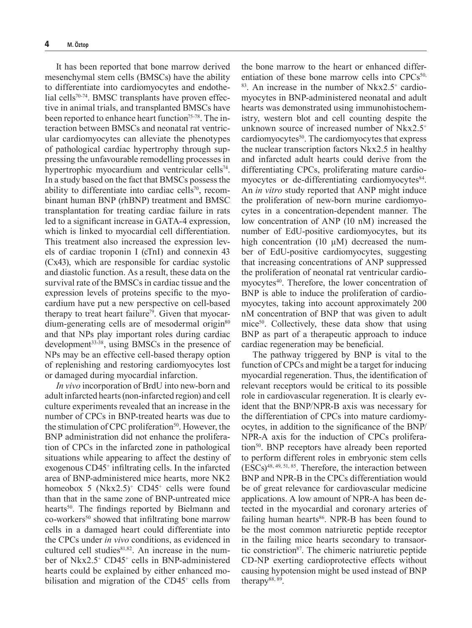It has been reported that bone marrow derived mesenchymal stem cells (BMSCs) have the ability to differentiate into cardiomyocytes and endothelial cells<sup>70-74</sup>. BMSC transplants have proven effective in animal trials, and transplanted BMSCs have been reported to enhance heart function<sup>75-78</sup>. The interaction between BMSCs and neonatal rat ventricular cardiomyocytes can alleviate the phenotypes of pathological cardiac hypertrophy through suppressing the unfavourable remodelling processes in hypertrophic myocardium and ventricular cells<sup>74</sup>. In a study based on the fact that BMSCs possess the ability to differentiate into cardiac cells<sup>70</sup>, recombinant human BNP (rhBNP) treatment and BMSC transplantation for treating cardiac failure in rats led to a significant increase in GATA-4 expression, which is linked to myocardial cell differentiation. This treatment also increased the expression levels of cardiac troponin I (cTnI) and connexin 43 (Cx43), which are responsible for cardiac systolic and diastolic function. As a result, these data on the survival rate of the BMSCs in cardiac tissue and the expression levels of proteins specific to the myocardium have put a new perspective on cell-based therapy to treat heart failure<sup>79</sup>. Given that myocardium-generating cells are of mesodermal origin<sup>80</sup> and that NPs play important roles during cardiac development<sup>33-38</sup>, using BMSCs in the presence of NPs may be an effective cell-based therapy option of replenishing and restoring cardiomyocytes lost or damaged during myocardial infarction.

*In vivo* incorporation of BrdU into new-born and adult infarcted hearts (non-infarcted region) and cell culture experiments revealed that an increase in the number of CPCs in BNP-treated hearts was due to the stimulation of CPC proliferation $50$ . However, the BNP administration did not enhance the proliferation of CPCs in the infarcted zone in pathological situations while appearing to affect the destiny of exogenous CD45<sup>+</sup> infiltrating cells. In the infarcted area of BNP-administered mice hearts, more NK2 homeobox 5  $(Nkx2.5)^+$  CD45<sup>+</sup> cells were found than that in the same zone of BNP-untreated mice hearts<sup>50</sup>. The findings reported by Bielmann and co-workers<sup>50</sup> showed that infiltrating bone marrow cells in a damaged heart could differentiate into the CPCs under *in vivo* conditions, as evidenced in cultured cell studies81,82. An increase in the number of Nkx2.5+ CD45+ cells in BNP-administered hearts could be explained by either enhanced mobilisation and migration of the CD45<sup>+</sup> cells from

the bone marrow to the heart or enhanced differentiation of these bone marrow cells into  $CPCs^{50}$ ,  $83$ . An increase in the number of Nkx2.5<sup>+</sup> cardiomyocytes in BNP-administered neonatal and adult hearts was demonstrated using immunohistochemistry, western blot and cell counting despite the unknown source of increased number of Nkx2.5+ cardiomyocytes<sup>50</sup>. The cardiomyocytes that express the nuclear transcription factors Nkx2.5 in healthy and infarcted adult hearts could derive from the differentiating CPCs, proliferating mature cardiomyocytes or de-differentiating cardiomyocytes<sup>84</sup>. An *in vitro* study reported that ANP might induce the proliferation of new-born murine cardiomyocytes in a concentration-dependent manner. The low concentration of ANP (10 nM) increased the number of EdU-positive cardiomyocytes, but its high concentration (10  $\mu$ M) decreased the number of EdU-positive cardiomyocytes, suggesting that increasing concentrations of ANP suppressed the proliferation of neonatal rat ventricular cardiomyocytes<sup>40</sup>. Therefore, the lower concentration of BNP is able to induce the proliferation of cardiomyocytes, taking into account approximately 200 nM concentration of BNP that was given to adult mice<sup>50</sup>. Collectively, these data show that using BNP as part of a therapeutic approach to induce cardiac regeneration may be beneficial.

The pathway triggered by BNP is vital to the function of CPCs and might be a target for inducing myocardial regeneration. Thus, the identification of relevant receptors would be critical to its possible role in cardiovascular regeneration. It is clearly evident that the BNP/NPR-B axis was necessary for the differentiation of CPCs into mature cardiomyocytes, in addition to the significance of the BNP/ NPR-A axis for the induction of CPCs proliferation<sup>50</sup>. BNP receptors have already been reported to perform different roles in embryonic stem cells (ESCs)48, 49, 51, 85. Therefore, the interaction between BNP and NPR-B in the CPCs differentiation would be of great relevance for cardiovascular medicine applications. A low amount of NPR-A has been detected in the myocardial and coronary arteries of failing human hearts $86$ . NPR-B has been found to be the most common natriuretic peptide receptor in the failing mice hearts secondary to transaortic constriction<sup>87</sup>. The chimeric natriuretic peptide CD-NP exerting cardioprotective effects without causing hypotension might be used instead of BNP therapy $88, 89$ .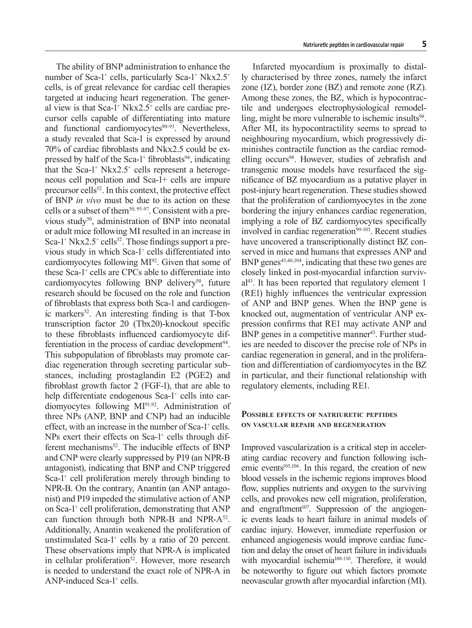The ability of BNP administration to enhance the number of Sca-1<sup>+</sup> cells, particularly Sca-1<sup>+</sup> Nkx2.5<sup>+</sup> cells, is of great relevance for cardiac cell therapies targeted at inducing heart regeneration. The general view is that Sca-1<sup>+</sup> Nkx2.5<sup>+</sup> cells are cardiac precursor cells capable of differentiating into mature and functional cardiomyocytes<sup>90-93</sup>. Nevertheless, a study revealed that Sca-1 is expressed by around 70% of cardiac fibroblasts and Nkx2.5 could be expressed by half of the Sca-1<sup>+</sup> fibroblasts<sup>94</sup>, indicating that the Sca-1<sup>+</sup> Nkx2.5<sup>+</sup> cells represent a heterogeneous cell population and Sca-1+ cells are impure precursor cells<sup>52</sup>. In this context, the protective effect of BNP *in vivo* must be due to its action on these cells or a subset of them $50, 95-97$ . Consistent with a previous study<sup>50</sup>, administration of BNP into neonatal or adult mice following MI resulted in an increase in Sca-1<sup>+</sup> Nkx2.5<sup>+</sup> cells<sup>52</sup>. Those findings support a previous study in which Sca-1<sup>+</sup> cells differentiated into cardiomyocytes following MI92. Given that some of these Sca-1+ cells are CPCs able to differentiate into cardiomyocytes following BNP delivery<sup>50</sup>, future research should be focused on the role and function of fibroblasts that express both Sca-1 and cardiogenic markers<sup>52</sup>. An interesting finding is that  $T$ -box transcription factor 20 (Tbx20)-knockout specific to these fibroblasts influenced cardiomyocyte differentiation in the process of cardiac development<sup>94</sup>. This subpopulation of fibroblasts may promote cardiac regeneration through secreting particular substances, including prostaglandin E2 (PGE2) and fibroblast growth factor 2 (FGF-1), that are able to help differentiate endogenous Sca-1<sup>+</sup> cells into cardiomyocytes following MI91,92. Administration of three NPs (ANP, BNP and CNP) had an inducible effect, with an increase in the number of Sca-1<sup>+</sup> cells. NPs exert their effects on Sca-1<sup>+</sup> cells through different mechanisms<sup>52</sup>. The inducible effects of BNP and CNP were clearly suppressed by P19 (an NPR-B antagonist), indicating that BNP and CNP triggered Sca-1<sup>+</sup> cell proliferation merely through binding to NPR-B. On the contrary, Anantin (an ANP antagonist) and P19 impeded the stimulative action of ANP on Sca-1+ cell proliferation, demonstrating that ANP can function through both NPR-B and NPR- $A^{52}$ . Additionally, Anantin weakened the proliferation of unstimulated Sca-1 $^+$  cells by a ratio of 20 percent. These observations imply that NPR-A is implicated in cellular proliferation<sup>52</sup>. However, more research is needed to understand the exact role of NPR-A in ANP-induced Sca-1<sup>+</sup> cells.

Infarcted myocardium is proximally to distally characterised by three zones, namely the infarct zone (IZ), border zone (BZ) and remote zone (RZ). Among these zones, the BZ, which is hypocontractile and undergoes electrophysiological remodelling, might be more vulnerable to ischemic insults<sup>98</sup>. After MI, its hypocontractility seems to spread to neighbouring myocardium, which progressively diminishes contractile function as the cardiac remodelling occurs<sup>98</sup>. However, studies of zebrafish and transgenic mouse models have resurfaced the significance of BZ myocardium as a putative player in post-injury heart regeneration. These studies showed that the proliferation of cardiomyocytes in the zone bordering the injury enhances cardiac regeneration, implying a role of BZ cardiomyocytes specifically involved in cardiac regeneration<sup>99-103</sup>. Recent studies have uncovered a transcriptionally distinct BZ conserved in mice and humans that expresses ANP and BNP genes<sup>43,46,104</sup>, indicating that these two genes are closely linked in post-myocardial infarction surviv $a^{143}$ . It has been reported that regulatory element 1 (RE1) highly influences the ventricular expression of ANP and BNP genes. When the BNP gene is knocked out, augmentation of ventricular ANP expression confirms that RE1 may activate ANP and BNP genes in a competitive manner<sup>43</sup>. Further studies are needed to discover the precise role of NPs in cardiac regeneration in general, and in the proliferation and differentiation of cardiomyocytes in the BZ in particular, and their functional relationship with regulatory elements, including RE1.

# **Possible effects of natriuretic peptides on vascular repair and regeneration**

Improved vascularization is a critical step in accelerating cardiac recovery and function following ischemic events<sup>105,106</sup>. In this regard, the creation of new blood vessels in the ischemic regions improves blood flow, supplies nutrients and oxygen to the surviving cells, and provokes new cell migration, proliferation, and engraftment<sup> $107$ </sup>. Suppression of the angiogenic events leads to heart failure in animal models of cardiac injury. However, immediate reperfusion or enhanced angiogenesis would improve cardiac function and delay the onset of heart failure in individuals with myocardial ischemia<sup>108-110</sup>. Therefore, it would be noteworthy to figure out which factors promote neovascular growth after myocardial infarction (MI).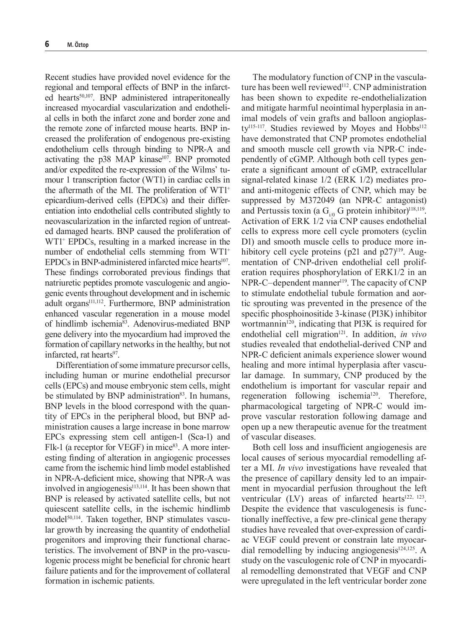Recent studies have provided novel evidence for the regional and temporal effects of BNP in the infarcted hearts<sup>50,107</sup>. BNP administered intraperitoneally increased myocardial vascularization and endothelial cells in both the infarct zone and border zone and the remote zone of infarcted mouse hearts. BNP increased the proliferation of endogenous pre-existing endothelium cells through binding to NPR-A and activating the p38 MAP kinase<sup>107</sup>. BNP promoted and/or expedited the re-expression of the Wilms' tumour 1 transcription factor (WT1) in cardiac cells in the aftermath of the MI. The proliferation of WT1+ epicardium-derived cells (EPDCs) and their differentiation into endothelial cells contributed slightly to neovascularization in the infarcted region of untreated damaged hearts. BNP caused the proliferation of WT1+ EPDCs, resulting in a marked increase in the number of endothelial cells stemming from WT1<sup>+</sup> EPDCs in BNP-administered infarcted mice hearts<sup>107</sup>. These findings corroborated previous findings that natriuretic peptides promote vasculogenic and angiogenic events throughout development and in ischemic adult organs<sup>111,112</sup>. Furthermore, BNP administration enhanced vascular regeneration in a mouse model of hindlimb ischemia<sup>83</sup>. Adenovirus-mediated BNP gene delivery into the myocardium had improved the formation of capillary networks in the healthy, but not infarcted, rat hearts<sup>97</sup>.

Differentiation of some immature precursor cells, including human or murine endothelial precursor cells (EPCs) and mouse embryonic stem cells, might be stimulated by BNP administration $83$ . In humans, BNP levels in the blood correspond with the quantity of EPCs in the peripheral blood, but BNP administration causes a large increase in bone marrow EPCs expressing stem cell antigen-1 (Sca-1) and Flk-1 (a receptor for VEGF) in mice<sup>83</sup>. A more interesting finding of alteration in angiogenic processes came from the ischemic hind limb model established in NPR-A-deficient mice, showing that NPR-A was involved in angiogenesis $113,114$ . It has been shown that BNP is released by activated satellite cells, but not quiescent satellite cells, in the ischemic hindlimb model<sup>50,114</sup>. Taken together, BNP stimulates vascular growth by increasing the quantity of endothelial progenitors and improving their functional characteristics. The involvement of BNP in the pro-vasculogenic process might be beneficial for chronic heart failure patients and for the improvement of collateral formation in ischemic patients.

The modulatory function of CNP in the vasculature has been well reviewed<sup>112</sup>. CNP administration has been shown to expedite re-endothelialization and mitigate harmful neointimal hyperplasia in animal models of vein grafts and balloon angioplasty<sup>115-117</sup>. Studies reviewed by Moyes and Hobbs<sup>112</sup> have demonstrated that CNP promotes endothelial and smooth muscle cell growth via NPR-C independently of cGMP. Although both cell types generate a significant amount of cGMP, extracellular signal-related kinase 1/2 (ERK 1/2) mediates proand anti-mitogenic effects of CNP, which may be suppressed by M372049 (an NPR-C antagonist) and Pertussis toxin (a  $G_{i/0}$  G protein inhibitor)<sup>118,119</sup>. Activation of ERK 1/2 via CNP causes endothelial cells to express more cell cycle promoters (cyclin D1) and smooth muscle cells to produce more inhibitory cell cycle proteins  $(p21 \text{ and } p27)^{119}$ . Augmentation of CNP-driven endothelial cell proliferation requires phosphorylation of ERK1/2 in an  $NPR-C$ –dependent manner<sup>119</sup>. The capacity of CNP to stimulate endothelial tubule formation and aortic sprouting was prevented in the presence of the specific phosphoinositide 3-kinase (PI3K) inhibitor wortmannin<sup>120</sup>, indicating that PI3K is required for endothelial cell migration<sup>121</sup>. In addition, *in vivo* studies revealed that endothelial-derived CNP and NPR-C deficient animals experience slower wound healing and more intimal hyperplasia after vascular damage. In summary, CNP produced by the endothelium is important for vascular repair and regeneration following ischemia<sup>120</sup>. Therefore, pharmacological targeting of NPR-C would improve vascular restoration following damage and open up a new therapeutic avenue for the treatment of vascular diseases.

Both cell loss and insufficient angiogenesis are local causes of serious myocardial remodelling after a MI. *In vivo* investigations have revealed that the presence of capillary density led to an impairment in myocardial perfusion throughout the left ventricular  $(LV)$  areas of infarcted hearts<sup>122, 123</sup>. Despite the evidence that vasculogenesis is functionally ineffective, a few pre-clinical gene therapy studies have revealed that over-expression of cardiac VEGF could prevent or constrain late myocardial remodelling by inducing angiogenesis<sup>124,125</sup>. A study on the vasculogenic role of CNP in myocardial remodelling demonstrated that VEGF and CNP were upregulated in the left ventricular border zone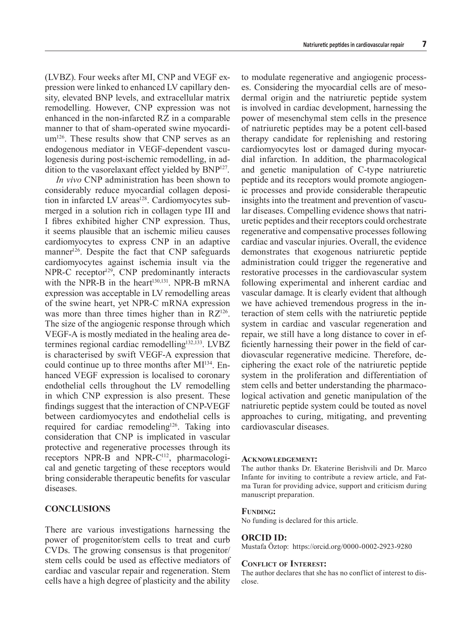(LVBZ). Four weeks after MI, CNP and VEGF expression were linked to enhanced LV capillary density, elevated BNP levels, and extracellular matrix remodelling. However, CNP expression was not enhanced in the non-infarcted RZ in a comparable manner to that of sham-operated swine myocardium<sup>126</sup>. These results show that CNP serves as an endogenous mediator in VEGF-dependent vasculogenesis during post-ischemic remodelling, in addition to the vasorelaxant effect yielded by BNP<sup>127</sup>.

*In vivo* CNP administration has been shown to considerably reduce myocardial collagen deposition in infarcted LV areas<sup>128</sup>. Cardiomyocytes submerged in a solution rich in collagen type III and I fibres exhibited higher CNP expression. Thus, it seems plausible that an ischemic milieu causes cardiomyocytes to express CNP in an adaptive manner<sup>126</sup>. Despite the fact that CNP safeguards cardiomyocytes against ischemia insult via the  $NPR-C$  receptor<sup>129</sup>,  $CNP$  predominantly interacts with the NPR-B in the heart<sup>130,131</sup>. NPR-B mRNA expression was acceptable in LV remodelling areas of the swine heart, yet NPR-C mRNA expression was more than three times higher than in  $RZ^{126}$ . The size of the angiogenic response through which VEGF-A is mostly mediated in the healing area determines regional cardiac remodelling<sup>132,133</sup>. LVBZ is characterised by swift VEGF-A expression that could continue up to three months after MI<sup>134</sup>. Enhanced VEGF expression is localised to coronary endothelial cells throughout the LV remodelling in which CNP expression is also present. These findings suggest that the interaction of CNP-VEGF between cardiomyocytes and endothelial cells is required for cardiac remodeling<sup>126</sup>. Taking into consideration that CNP is implicated in vascular protective and regenerative processes through its receptors NPR-B and NPR-C<sup>112</sup>, pharmacological and genetic targeting of these receptors would bring considerable therapeutic benefits for vascular diseases.

# **CONCLUSIONS**

There are various investigations harnessing the power of progenitor/stem cells to treat and curb CVDs. The growing consensus is that progenitor/ stem cells could be used as effective mediators of cardiac and vascular repair and regeneration. Stem cells have a high degree of plasticity and the ability

to modulate regenerative and angiogenic processes. Considering the myocardial cells are of mesodermal origin and the natriuretic peptide system is involved in cardiac development, harnessing the power of mesenchymal stem cells in the presence of natriuretic peptides may be a potent cell-based therapy candidate for replenishing and restoring cardiomyocytes lost or damaged during myocardial infarction. In addition, the pharmacological and genetic manipulation of C-type natriuretic peptide and its receptors would promote angiogenic processes and provide considerable therapeutic insights into the treatment and prevention of vascular diseases. Compelling evidence shows that natriuretic peptides and their receptors could orchestrate regenerative and compensative processes following cardiac and vascular injuries. Overall, the evidence demonstrates that exogenous natriuretic peptide administration could trigger the regenerative and restorative processes in the cardiovascular system following experimental and inherent cardiac and vascular damage. It is clearly evident that although we have achieved tremendous progress in the interaction of stem cells with the natriuretic peptide system in cardiac and vascular regeneration and repair, we still have a long distance to cover in efficiently harnessing their power in the field of cardiovascular regenerative medicine. Therefore, deciphering the exact role of the natriuretic peptide system in the proliferation and differentiation of stem cells and better understanding the pharmacological activation and genetic manipulation of the natriuretic peptide system could be touted as novel approaches to curing, mitigating, and preventing cardiovascular diseases.

#### **Acknowledgement:**

The author thanks Dr. Ekaterine Berishvili and Dr. Marco Infante for inviting to contribute a review article, and Fatma Turan for providing advice, support and criticism during manuscript preparation.

#### **Funding:**

No funding is declared for this article.

#### **ORCID ID:**

Mustafa Öztop: https://orcid.org/0000-0002-2923-9280

#### **Conflict of Interest:**

The author declares that she has no conflict of interest to disclose.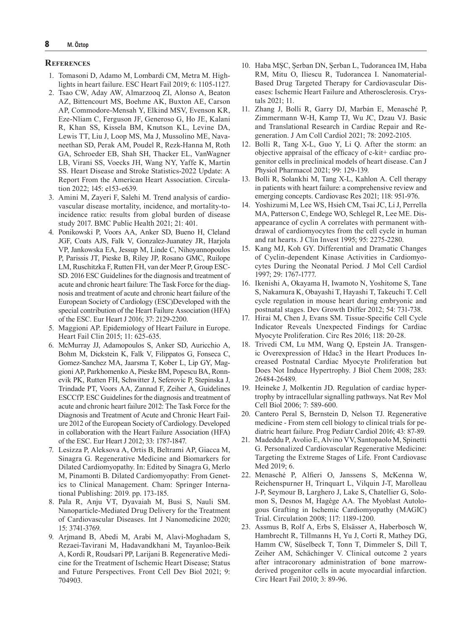#### **References**

- 1. Tomasoni D, Adamo M, Lombardi CM, Metra M. Highlights in heart failure. ESC Heart Fail 2019; 6: 1105-1127.
- 2. Tsao CW, Aday AW, Almarzooq ZI, Alonso A, Beaton AZ, Bittencourt MS, Boehme AK, Buxton AE, Carson AP, Commodore-Mensah Y, Elkind MSV, Evenson KR, Eze-Nliam C, Ferguson JF, Generoso G, Ho JE, Kalani R, Khan SS, Kissela BM, Knutson KL, Levine DA, Lewis TT, Liu J, Loop MS, Ma J, Mussolino ME, Navaneethan SD, Perak AM, Poudel R, Rezk-Hanna M, Roth GA, Schroeder EB, Shah SH, Thacker EL, VanWagner LB, Virani SS, Voecks JH, Wang NY, Yaffe K, Martin SS. Heart Disease and Stroke Statistics-2022 Update: A Report From the American Heart Association. Circulation 2022; 145: e153-e639.
- 3. Amini M, Zayeri F, Salehi M. Trend analysis of cardiovascular disease mortality, incidence, and mortality-toincidence ratio: results from global burden of disease study 2017. BMC Public Health 2021; 21: 401.
- 4. Ponikowski P, Voors AA, Anker SD, Bueno H, Cleland JGF, Coats AJS, Falk V, Gonzalez-Juanatey JR, Harjola VP, Jankowska EA, Jessup M, Linde C, Nihoyannopoulos P, Parissis JT, Pieske B, Riley JP, Rosano GMC, Ruilope LM, Ruschitzka F, Rutten FH, van der Meer P, Group ESC-SD. 2016 ESC Guidelines for the diagnosis and treatment of acute and chronic heart failure: The Task Force for the diagnosis and treatment of acute and chronic heart failure of the European Society of Cardiology (ESC)Developed with the special contribution of the Heart Failure Association (HFA) of the ESC. Eur Heart J 2016; 37: 2129-2200.
- 5. Maggioni AP. Epidemiology of Heart Failure in Europe. Heart Fail Clin 2015; 11: 625-635.
- 6. McMurray JJ, Adamopoulos S, Anker SD, Auricchio A, Bohm M, Dickstein K, Falk V, Filippatos G, Fonseca C, Gomez-Sanchez MA, Jaarsma T, Kober L, Lip GY, Maggioni AP, Parkhomenko A, Pieske BM, Popescu BA, Ronnevik PK, Rutten FH, Schwitter J, Seferovic P, Stepinska J, Trindade PT, Voors AA, Zannad F, Zeiher A, Guidelines ESCCfP. ESC Guidelines for the diagnosis and treatment of acute and chronic heart failure 2012: The Task Force for the Diagnosis and Treatment of Acute and Chronic Heart Failure 2012 of the European Society of Cardiology. Developed in collaboration with the Heart Failure Association (HFA) of the ESC. Eur Heart J 2012; 33: 1787-1847.
- 7. Lesizza P, Aleksova A, Ortis B, Beltrami AP, Giacca M, Sinagra G. Regenerative Medicine and Biomarkers for Dilated Cardiomyopathy. In: Edited by Sinagra G, Merlo M, Pinamonti B. Dilated Cardiomyopathy: From Genetics to Clinical Management. Cham: Springer International Publishing: 2019. pp. 173-185.
- 8. Pala R, Anju VT, Dyavaiah M, Busi S, Nauli SM. Nanoparticle-Mediated Drug Delivery for the Treatment of Cardiovascular Diseases. Int J Nanomedicine 2020; 15: 3741-3769.
- 9. Arjmand B, Abedi M, Arabi M, Alavi-Moghadam S, Rezaei-Tavirani M, Hadavandkhani M, Tayanloo-Beik A, Kordi R, Roudsari PP, Larijani B. Regenerative Medicine for the Treatment of Ischemic Heart Disease; Status and Future Perspectives. Front Cell Dev Biol 2021; 9: 704903.
- 10. Haba MȘC, Șerban DN, Șerban L, Tudorancea IM, Haba RM, Mitu O, Iliescu R, Tudorancea I. Nanomaterial-Based Drug Targeted Therapy for Cardiovascular Diseases: Ischemic Heart Failure and Atherosclerosis. Crystals 2021; 11.
- 11. Zhang J, Bolli R, Garry DJ, Marbán E, Menasché P, Zimmermann W-H, Kamp TJ, Wu JC, Dzau VJ. Basic and Translational Research in Cardiac Repair and Regeneration. J Am Coll Cardiol 2021; 78: 2092-2105.
- 12. Bolli R, Tang X-L, Guo Y, Li Q. After the storm: an objective appraisal of the efficacy of c-kit+ cardiac progenitor cells in preclinical models of heart disease. Can J Physiol Pharmacol 2021; 99: 129-139.
- 13. Bolli R, Solankhi M, Tang X-L, Kahlon A. Cell therapy in patients with heart failure: a comprehensive review and emerging concepts. Cardiovasc Res 2021; 118: 951-976.
- 14. Yoshizumi M, Lee WS, Hsieh CM, Tsai JC, Li J, Perrella MA, Patterson C, Endege WO, Schlegel R, Lee ME. Disappearance of cyclin A correlates with permanent withdrawal of cardiomyocytes from the cell cycle in human and rat hearts. J Clin Invest 1995; 95: 2275-2280.
- 15. Kang MJ, Koh GY. Differential and Dramatic Changes of Cyclin-dependent Kinase Activities in Cardiomyocytes During the Neonatal Period. J Mol Cell Cardiol 1997; 29: 1767-1777.
- 16. Ikenishi A, Okayama H, Iwamoto N, Yoshitome S, Tane S, Nakamura K, Obayashi T, Hayashi T, Takeuchi T. Cell cycle regulation in mouse heart during embryonic and postnatal stages. Dev Growth Differ 2012; 54: 731-738.
- 17. Hirai M, Chen J, Evans SM. Tissue-Specific Cell Cycle Indicator Reveals Unexpected Findings for Cardiac Myocyte Proliferation. Circ Res 2016; 118: 20-28.
- 18. Trivedi CM, Lu MM, Wang Q, Epstein JA. Transgenic Overexpression of Hdac3 in the Heart Produces Increased Postnatal Cardiac Myocyte Proliferation but Does Not Induce Hypertrophy. J Biol Chem 2008; 283: 26484-26489.
- 19. Heineke J, Molkentin JD. Regulation of cardiac hypertrophy by intracellular signalling pathways. Nat Rev Mol Cell Biol 2006; 7: 589-600.
- 20. Cantero Peral S, Bernstein D, Nelson TJ. Regenerative medicine - From stem cell biology to clinical trials for pediatric heart failure. Prog Pediatr Cardiol 2016; 43: 87-89.
- 21. Madeddu P, Avolio E, Alvino VV, Santopaolo M, Spinetti G. Personalized Cardiovascular Regenerative Medicine: Targeting the Extreme Stages of Life. Front Cardiovasc Med 2019; 6.
- 22. Menasché P, Alfieri O, Janssens S, McKenna W, Reichenspurner H, Trinquart L, Vilquin J-T, Marolleau J-P, Seymour B, Larghero J, Lake S, Chatellier G, Solomon S, Desnos M, Hagège AA. The Myoblast Autologous Grafting in Ischemic Cardiomyopathy (MAGIC) Trial. Circulation 2008; 117: 1189-1200.
- 23. Assmus B, Rolf A, Erbs S, Elsässer A, Haberbosch W, Hambrecht R, Tillmanns H, Yu J, Corti R, Mathey DG, Hamm CW, Süselbeck T, Tonn T, Dimmeler S, Dill T, Zeiher AM, Schächinger V. Clinical outcome 2 years after intracoronary administration of bone marrowderived progenitor cells in acute myocardial infarction. Circ Heart Fail 2010; 3: 89-96.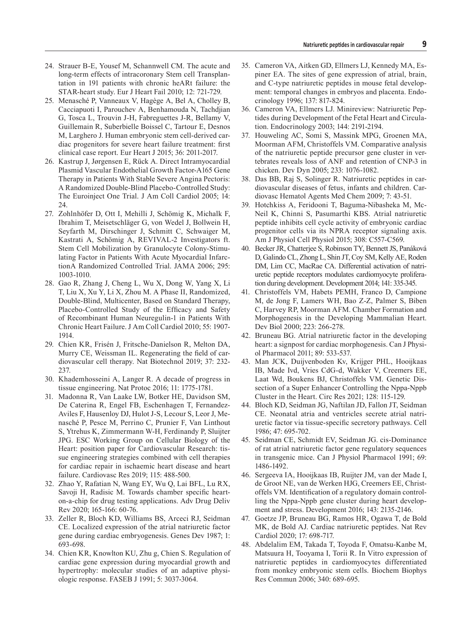- 24. Strauer B-E, Yousef M, Schannwell CM. The acute and long-term effects of intracoronary Stem cell Transplantation in 191 patients with chronic heARt failure: the STAR-heart study. Eur J Heart Fail 2010; 12: 721-729.
- 25. Menasché P, Vanneaux V, Hagège A, Bel A, Cholley B, Cacciapuoti I, Parouchev A, Benhamouda N, Tachdjian G, Tosca L, Trouvin J-H, Fabreguettes J-R, Bellamy V, Guillemain R, Suberbielle Boissel C, Tartour E, Desnos M, Larghero J. Human embryonic stem cell-derived cardiac progenitors for severe heart failure treatment: first clinical case report. Eur Heart J 2015; 36: 2011-2017.
- 26. Kastrup J, Jørgensen E, Rück A. Direct Intramyocardial Plasmid Vascular Endothelial Growth Factor-A165 Gene Therapy in Patients With Stable Severe Angina Pectoris: A Randomized Double-Blind Placebo-Controlled Study: The Euroinject One Trial. J Am Coll Cardiol 2005; 14: 24.
- 27. Zohlnhöfer D, Ott I, Mehilli J, Schömig K, Michalk F, Ibrahim T, Meisetschläger G, von Wedel J, Bollwein H, Seyfarth M, Dirschinger J, Schmitt C, Schwaiger M, Kastrati A, Schömig A, REVIVAL-2 Investigators ft. Stem Cell Mobilization by Granulocyte Colony-Stimulating Factor in Patients With Acute Myocardial InfarctionA Randomized Controlled Trial. JAMA 2006; 295: 1003-1010.
- 28. Gao R, Zhang J, Cheng L, Wu X, Dong W, Yang X, Li T, Liu X, Xu Y, Li X, Zhou M. A Phase II, Randomized, Double-Blind, Multicenter, Based on Standard Therapy, Placebo-Controlled Study of the Efficacy and Safety of Recombinant Human Neuregulin-1 in Patients With Chronic Heart Failure. J Am Coll Cardiol 2010; 55: 1907- 1914.
- 29. Chien KR, Frisén J, Fritsche-Danielson R, Melton DA, Murry CE, Weissman IL. Regenerating the field of cardiovascular cell therapy. Nat Biotechnol 2019; 37: 232- 237.
- 30. Khademhosseini A, Langer R. A decade of progress in tissue engineering. Nat Protoc 2016; 11: 1775-1781.
- 31. Madonna R, Van Laake LW, Botker HE, Davidson SM, De Caterina R, Engel FB, Eschenhagen T, Fernandez-Aviles F, Hausenloy DJ, Hulot J-S, Lecour S, Leor J, Menasché P, Pesce M, Perrino C, Prunier F, Van Linthout S, Ytrehus K, Zimmermann W-H, Ferdinandy P, Sluijter JPG. ESC Working Group on Cellular Biology of the Heart: position paper for Cardiovascular Research: tissue engineering strategies combined with cell therapies for cardiac repair in ischaemic heart disease and heart failure. Cardiovasc Res 2019; 115: 488-500.
- 32. Zhao Y, Rafatian N, Wang EY, Wu Q, Lai BFL, Lu RX, Savoji H, Radisic M. Towards chamber specific hearton-a-chip for drug testing applications. Adv Drug Deliv Rev 2020; 165-166: 60-76.
- 33. Zeller R, Bloch KD, Williams BS, Arceci RJ, Seidman CE. Localized expression of the atrial natriuretic factor gene during cardiac embryogenesis. Genes Dev 1987; 1: 693-698.
- 34. Chien KR, Knowlton KU, Zhu g, Chien S. Regulation of cardiac gene expression during myocardial growth and hypertrophy: molecular studies of an adaptive physiologic response. FASEB J 1991; 5: 3037-3064.
- 35. Cameron VA, Aitken GD, Ellmers LJ, Kennedy MA, Espiner EA. The sites of gene expression of atrial, brain, and C-type natriuretic peptides in mouse fetal development: temporal changes in embryos and placenta. Endocrinology 1996; 137: 817-824.
- 36. Cameron VA, Ellmers LJ. Minireview: Natriuretic Peptides during Development of the Fetal Heart and Circulation. Endocrinology 2003; 144: 2191-2194.
- 37. Houweling AC, Somi S, Massink MPG, Groenen MA, Moorman AFM, Christoffels VM. Comparative analysis of the natriuretic peptide precursor gene cluster in vertebrates reveals loss of ANF and retention of CNP-3 in chicken. Dev Dyn 2005; 233: 1076-1082.
- 38. Das BB, Raj S, Solinger R. Natriuretic peptides in cardiovascular diseases of fetus, infants and children. Cardiovasc Hematol Agents Med Chem 2009; 7: 43-51.
- 39. Hotchkiss A, Feridooni T, Baguma-Nibasheka M, Mc-Neil K, Chinni S, Pasumarthi KBS. Atrial natriuretic peptide inhibits cell cycle activity of embryonic cardiac progenitor cells via its NPRA receptor signaling axis. Am J Physiol Cell Physiol 2015; 308: C557-C569.
- 40. Becker JR, Chatterjee S, Robinson TY, Bennett JS, Panáková D, Galindo CL, Zhong L, Shin JT, Coy SM, Kelly AE, Roden DM, Lim CC, MacRae CA. Differential activation of natriuretic peptide receptors modulates cardiomyocyte proliferation during development. Development 2014; 141: 335-345.
- 41. Christoffels VM, Habets PEMH, Franco D, Campione M, de Jong F, Lamers WH, Bao Z-Z, Palmer S, Biben C, Harvey RP, Moorman AFM. Chamber Formation and Morphogenesis in the Developing Mammalian Heart. Dev Biol 2000; 223: 266-278.
- 42. Bruneau BG. Atrial natriuretic factor in the developing heart: a signpost for cardiac morphogenesis. Can J Physiol Pharmacol 2011; 89: 533-537.
- 43. Man JCK, Duijvenboden Kv, Krijger PHL, Hooijkaas IB, Made Ivd, Vries CdG-d, Wakker V, Creemers EE, Laat Wd, Boukens BJ, Christoffels VM. Genetic Dissection of a Super Enhancer Controlling the Nppa-Nppb Cluster in the Heart. Circ Res 2021; 128: 115-129.
- 44. Bloch KD, Seidman JG, Naftilan JD, Fallon JT, Seidman CE. Neonatal atria and ventricles secrete atrial natriuretic factor via tissue-specific secretory pathways. Cell 1986; 47: 695-702.
- 45. Seidman CE, Schmidt EV, Seidman JG. cis-Dominance of rat atrial natriuretic factor gene regulatory sequences in transgenic mice. Can J Physiol Pharmacol 1991; 69: 1486-1492.
- 46. Sergeeva IA, Hooijkaas IB, Ruijter JM, van der Made I, de Groot NE, van de Werken HJG, Creemers EE, Christoffels VM. Identification of a regulatory domain controlling the Nppa-Nppb gene cluster during heart development and stress. Development 2016; 143: 2135-2146.
- 47. Goetze JP, Bruneau BG, Ramos HR, Ogawa T, de Bold MK, de Bold AJ. Cardiac natriuretic peptides. Nat Rev Cardiol 2020; 17: 698-717.
- 48. Abdelalim EM, Takada T, Toyoda F, Omatsu-Kanbe M, Matsuura H, Tooyama I, Torii R. In Vitro expression of natriuretic peptides in cardiomyocytes differentiated from monkey embryonic stem cells. Biochem Biophys Res Commun 2006; 340: 689-695.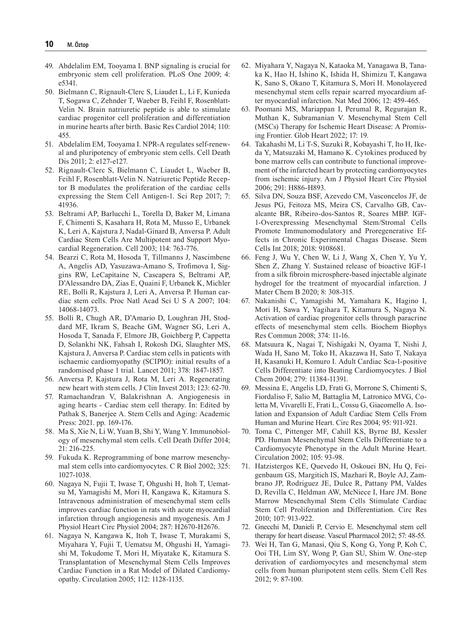- 49. Abdelalim EM, Tooyama I. BNP signaling is crucial for embryonic stem cell proliferation. PLoS One 2009; 4: e5341.
- 50. Bielmann C, Rignault-Clerc S, Liaudet L, Li F, Kunieda T, Sogawa C, Zehnder T, Waeber B, Feihl F, Rosenblatt-Velin N. Brain natriuretic peptide is able to stimulate cardiac progenitor cell proliferation and differentiation in murine hearts after birth. Basic Res Cardiol 2014; 110: 455.
- 51. Abdelalim EM, Tooyama I. NPR-A regulates self-renewal and pluripotency of embryonic stem cells. Cell Death Dis 2011; 2: e127-e127.
- 52. Rignault-Clerc S, Bielmann C, Liaudet L, Waeber B, Feihl F, Rosenblatt-Velin N. Natriuretic Peptide Receptor B modulates the proliferation of the cardiac cells expressing the Stem Cell Antigen-1. Sci Rep 2017; 7: 41936.
- 53. Beltrami AP, Barlucchi L, Torella D, Baker M, Limana F, Chimenti S, Kasahara H, Rota M, Musso E, Urbanek K, Leri A, Kajstura J, Nadal-Ginard B, Anversa P. Adult Cardiac Stem Cells Are Multipotent and Support Myocardial Regeneration. Cell 2003; 114: 763-776.
- 54. Bearzi C, Rota M, Hosoda T, Tillmanns J, Nascimbene A, Angelis AD, Yasuzawa-Amano S, Trofimova I, Siggins RW, LeCapitaine N, Cascapera S, Beltrami AP, D'Alessandro DA, Zias E, Quaini F, Urbanek K, Michler RE, Bolli R, Kajstura J, Leri A, Anversa P. Human cardiac stem cells. Proc Natl Acad Sci U S A 2007; 104: 14068-14073.
- 55. Bolli R, Chugh AR, D'Amario D, Loughran JH, Stoddard MF, Ikram S, Beache GM, Wagner SG, Leri A, Hosoda T, Sanada F, Elmore JB, Goichberg P, Cappetta D, Solankhi NK, Fahsah I, Rokosh DG, Slaughter MS, Kajstura J, Anversa P. Cardiac stem cells in patients with ischaemic cardiomyopathy (SCIPIO): initial results of a randomised phase 1 trial. Lancet 2011; 378: 1847-1857.
- 56. Anversa P, Kajstura J, Rota M, Leri A. Regenerating new heart with stem cells. J Clin Invest 2013; 123: 62-70.
- 57. Ramachandran V, Balakrishnan A. Angiogenesis in aging hearts - Cardiac stem cell therapy. In: Edited by Pathak S, Banerjee A. Stem Cells and Aging: Academic Press: 2021. pp. 169-176.
- 58. Ma S, Xie N, Li W, Yuan B, Shi Y, Wang Y. Immunobiology of mesenchymal stem cells. Cell Death Differ 2014; 21: 216-225.
- 59. Fukuda K. Reprogramming of bone marrow mesenchymal stem cells into cardiomyocytes. C R Biol 2002; 325: 1027-1038.
- 60. Nagaya N, Fujii T, Iwase T, Ohgushi H, Itoh T, Uematsu M, Yamagishi M, Mori H, Kangawa K, Kitamura S. Intravenous administration of mesenchymal stem cells improves cardiac function in rats with acute myocardial infarction through angiogenesis and myogenesis. Am J Physiol Heart Circ Physiol 2004; 287: H2670-H2676.
- 61. Nagaya N, Kangawa K, Itoh T, Iwase T, Murakami S, Miyahara Y, Fujii T, Uematsu M, Ohgushi H, Yamagishi M, Tokudome T, Mori H, Miyatake K, Kitamura S. Transplantation of Mesenchymal Stem Cells Improves Cardiac Function in a Rat Model of Dilated Cardiomyopathy. Circulation 2005; 112: 1128-1135.
- 62. Miyahara Y, Nagaya N, Kataoka M, Yanagawa B, Tanaka K, Hao H, Ishino K, Ishida H, Shimizu T, Kangawa K, Sano S, Okano T, Kitamura S, Mori H. Monolayered mesenchymal stem cells repair scarred myocardium after myocardial infarction. Nat Med 2006; 12: 459-465.
- 63. Poomani MS, Mariappan I, Perumal R, Regurajan R, Muthan K, Subramanian V. Mesenchymal Stem Cell (MSCs) Therapy for Ischemic Heart Disease: A Promising Frontier. Glob Heart 2022; 17: 19.
- 64. Takahashi M, Li T-S, Suzuki R, Kobayashi T, Ito H, Ikeda Y, Matsuzaki M, Hamano K. Cytokines produced by bone marrow cells can contribute to functional improvement of the infarcted heart by protecting cardiomyocytes from ischemic injury. Am J Physiol Heart Circ Physiol 2006; 291: H886-H893.
- 65. Silva DN, Souza BSF, Azevedo CM, Vasconcelos JF, de Jesus PG, Feitoza MS, Meira CS, Carvalho GB, Cavalcante BR, Ribeiro-dos-Santos R, Soares MBP. IGF-1-Overexpressing Mesenchymal Stem/Stromal Cells Promote Immunomodulatory and Proregenerative Effects in Chronic Experimental Chagas Disease. Stem Cells Int 2018; 2018: 9108681.
- 66. Feng J, Wu Y, Chen W, Li J, Wang X, Chen Y, Yu Y, Shen Z, Zhang Y. Sustained release of bioactive IGF-1 from a silk fibroin microsphere-based injectable alginate hydrogel for the treatment of myocardial infarction. J Mater Chem B 2020; 8: 308-315.
- 67. Nakanishi C, Yamagishi M, Yamahara K, Hagino I, Mori H, Sawa Y, Yagihara T, Kitamura S, Nagaya N. Activation of cardiac progenitor cells through paracrine effects of mesenchymal stem cells. Biochem Biophys Res Commun 2008; 374: 11-16.
- 68. Matsuura K, Nagai T, Nishigaki N, Oyama T, Nishi J, Wada H, Sano M, Toko H, Akazawa H, Sato T, Nakaya H, Kasanuki H, Komuro I. Adult Cardiac Sca-1-positive Cells Differentiate into Beating Cardiomyocytes. J Biol Chem 2004; 279: 11384-11391.
- 69. Messina E, Angelis LD, Frati G, Morrone S, Chimenti S, Fiordaliso F, Salio M, Battaglia M, Latronico MVG, Coletta M, Vivarelli E, Frati L, Cossu G, Giacomello A. Isolation and Expansion of Adult Cardiac Stem Cells From Human and Murine Heart. Circ Res 2004; 95: 911-921.
- 70. Toma C, Pittenger MF, Cahill KS, Byrne BJ, Kessler PD. Human Mesenchymal Stem Cells Differentiate to a Cardiomyocyte Phenotype in the Adult Murine Heart. Circulation 2002; 105: 93-98.
- 71. Hatzistergos KE, Quevedo H, Oskouei BN, Hu Q, Feigenbaum GS, Margitich IS, Mazhari R, Boyle AJ, Zambrano JP, Rodriguez JE, Dulce R, Pattany PM, Valdes D, Revilla C, Heldman AW, McNiece I, Hare JM. Bone Marrow Mesenchymal Stem Cells Stimulate Cardiac Stem Cell Proliferation and Differentiation. Circ Res 2010; 107: 913-922.
- 72. Gnecchi M, Danieli P, Cervio E. Mesenchymal stem cell therapy for heart disease. Vascul Pharmacol 2012; 57: 48-55.
- 73. Wei H, Tan G, Manasi, Qiu S, Kong G, Yong P, Koh C, Ooi TH, Lim SY, Wong P, Gan SU, Shim W. One-step derivation of cardiomyocytes and mesenchymal stem cells from human pluripotent stem cells. Stem Cell Res 2012; 9: 87-100.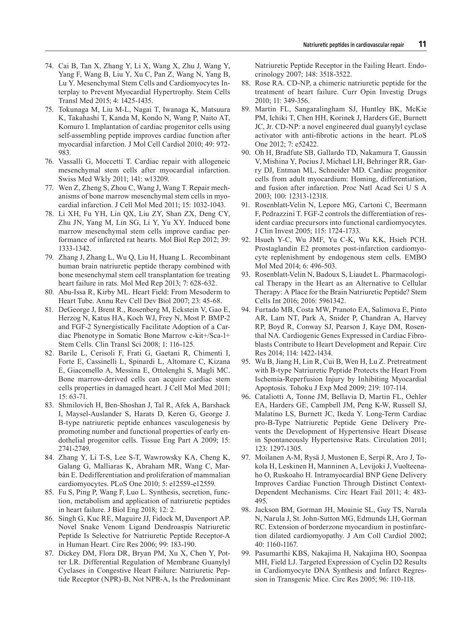- 74. Cai B, Tan X, Zhang Y, Li X, Wang X, Zhu J, Wang Y, Yang F, Wang B, Liu Y, Xu C, Pan Z, Wang N, Yang B, Lu Y. Mesenchymal Stem Cells and Cardiomyocytes Interplay to Prevent Myocardial Hypertrophy. Stem Cells Transl Med 2015; 4: 1425-1435.
- 75. Tokunaga M, Liu M-L, Nagai T, Iwanaga K, Matsuura K, Takahashi T, Kanda M, Kondo N, Wang P, Naito AT, Komuro I. Implantation of cardiac progenitor cells using self-assembling peptide improves cardiac function after myocardial infarction. J Mol Cell Cardiol 2010; 49: 972- 983.
- 76. Vassalli G, Moccetti T. Cardiac repair with allogeneic mesenchymal stem cells after myocardial infarction. Swiss Med Wkly 2011; 141: w13209.
- 77. Wen Z, Zheng S, Zhou C, Wang J, Wang T. Repair mechanisms of bone marrow mesenchymal stem cells in myocardial infarction. J Cell Mol Med 2011; 15: 1032-1043.
- 78. Li XH, Fu YH, Lin QX, Liu ZY, Shan ZX, Deng CY, Zhu JN, Yang M, Lin SG, Li Y, Yu XY. Induced bone marrow mesenchymal stem cells improve cardiac performance of infarcted rat hearts. Mol Biol Rep 2012; 39: 1333-1342.
- 79. Zhang J, Zhang L, Wu Q, Liu H, Huang L. Recombinant human brain natriuretic peptide therapy combined with bone mesenchymal stem cell transplantation for treating heart failure in rats. Mol Med Rep 2013; 7: 628-632.
- 80. Abu-Issa R, Kirby ML. Heart Field: From Mesoderm to Heart Tube. Annu Rev Cell Dev Biol 2007; 23: 45-68.
- 81. DeGeorge J, Brent R., Rosenberg M, Eckstein V, Gao E, Herzog N, Katus HA, Koch WJ, Frey N, Most P. BMP-2 and FGF-2 Synergistically Facilitate Adoption of a Cardiac Phenotype in Somatic Bone Marrow c-kit+/Sca-1+ Stem Cells. Clin Transl Sci 2008; 1: 116-125.
- 82. Barile L, Cerisoli F, Frati G, Gaetani R, Chimenti I, Forte E, Cassinelli L, Spinardi L, Altomare C, Kizana E, Giacomello A, Messina E, Ottolenghi S, Magli MC. Bone marrow-derived cells can acquire cardiac stem cells properties in damaged heart. J Cell Mol Med 2011; 15: 63-71.
- 83. Shmilovich H, Ben-Shoshan J, Tal R, Afek A, Barshack I, Maysel-Auslander S, Harats D, Keren G, George J. B-type natriuretic peptide enhances vasculogenesis by promoting number and functional properties of early endothelial progenitor cells. Tissue Eng Part A 2009; 15: 2741-2749.
- 84. Zhang Y, Li T-S, Lee S-T, Wawrowsky KA, Cheng K, Galang G, Malliaras K, Abraham MR, Wang C, Marbán E. Dedifferentiation and proliferation of mammalian cardiomyocytes. PLoS One 2010; 5: e12559-e12559.
- 85. Fu S, Ping P, Wang F, Luo L. Synthesis, secretion, function, metabolism and application of natriuretic peptides in heart failure. J Biol Eng 2018; 12: 2.
- 86. Singh G, Kuc RE, Maguire JJ, Fidock M, Davenport AP. Novel Snake Venom Ligand Dendroaspis Natriuretic Peptide Is Selective for Natriuretic Peptide Receptor-A in Human Heart. Circ Res 2006; 99: 183-190.
- 87. Dickey DM, Flora DR, Bryan PM, Xu X, Chen Y, Potter LR. Differential Regulation of Membrane Guanylyl Cyclases in Congestive Heart Failure: Natriuretic Peptide Receptor (NPR)-B, Not NPR-A, Is the Predominant

Natriuretic Peptide Receptor in the Failing Heart. Endocrinology 2007; 148: 3518-3522.

- 88. Rose RA. CD-NP, a chimeric natriuretic peptide for the treatment of heart failure. Curr Opin Investig Drugs 2010; 11: 349-356.
- 89. Martin FL, Sangaralingham SJ, Huntley BK, McKie PM, Ichiki T, Chen HH, Korinek J, Harders GE, Burnett JC, Jr. CD-NP: a novel engineered dual guanylyl cyclase activator with anti-fibrotic actions in the heart. PLoS One 2012; 7: e52422.
- 90. Oh H, Bradfute SB, Gallardo TD, Nakamura T, Gaussin V, Mishina Y, Pocius J, Michael LH, Behringer RR, Garry DJ, Entman ML, Schneider MD. Cardiac progenitor cells from adult myocardium: Homing, differentiation, and fusion after infarction. Proc Natl Acad Sci U S A 2003; 100: 12313-12318.
- 91. Rosenblatt-Velin N, Lepore MG, Cartoni C, Beermann F, Pedrazzini T. FGF-2 controls the differentiation of resident cardiac precursors into functional cardiomyocytes. J Clin Invest 2005; 115: 1724-1733.
- 92. Hsueh Y-C, Wu JMF, Yu C-K, Wu KK, Hsieh PCH. Prostaglandin E2 promotes post-infarction cardiomyocyte replenishment by endogenous stem cells. EMBO Mol Med 2014; 6: 496-503.
- 93. Rosenblatt-Velin N, Badoux S, Liaudet L. Pharmacological Therapy in the Heart as an Alternative to Cellular Therapy: A Place for the Brain Natriuretic Peptide? Stem Cells Int 2016; 2016: 5961342.
- 94. Furtado MB, Costa MW, Pranoto EA, Salimova E, Pinto AR, Lam NT, Park A, Snider P, Chandran A, Harvey RP, Boyd R, Conway SJ, Pearson J, Kaye DM, Rosenthal NA. Cardiogenic Genes Expressed in Cardiac Fibroblasts Contribute to Heart Development and Repair. Circ Res 2014; 114: 1422-1434.
- 95. Wu B, Jiang H, Lin R, Cui B, Wen H, Lu Z. Pretreatment with B-type Natriuretic Peptide Protects the Heart From Ischemia-Reperfusion Injury by Inhibiting Myocardial Apoptosis. Tohoku J Exp Med 2009; 219: 107-114.
- 96. Cataliotti A, Tonne JM, Bellavia D, Martin FL, Oehler EA, Harders GE, Campbell JM, Peng K-W, Russell SJ, Malatino LS, Burnett JC, Ikeda Y. Long-Term Cardiac pro-B-Type Natriuretic Peptide Gene Delivery Prevents the Development of Hypertensive Heart Disease in Spontaneously Hypertensive Rats. Circulation 2011; 123: 1297-1305.
- 97. Moilanen A-M, Rysä J, Mustonen E, Serpi R, Aro J, Tokola H, Leskinen H, Manninen A, Levijoki J, Vuolteenaho O, Ruskoaho H. Intramyocardial BNP Gene Delivery Improves Cardiac Function Through Distinct Context-Dependent Mechanisms. Circ Heart Fail 2011; 4: 483- 495.
- 98. Jackson BM, Gorman JH, Moainie SL, Guy TS, Narula N, Narula J, St. John-Sutton MG, Edmunds LH, Gorman RC. Extension of borderzone myocardium in postinfarction dilated cardiomyopathy. J Am Coll Cardiol 2002; 40: 1160-1167.
- 99. Pasumarthi KBS, Nakajima H, Nakajima HO, Soonpaa MH, Field LJ. Targeted Expression of Cyclin D2 Results in Cardiomyocyte DNA Synthesis and Infarct Regression in Transgenic Mice. Circ Res 2005; 96: 110-118.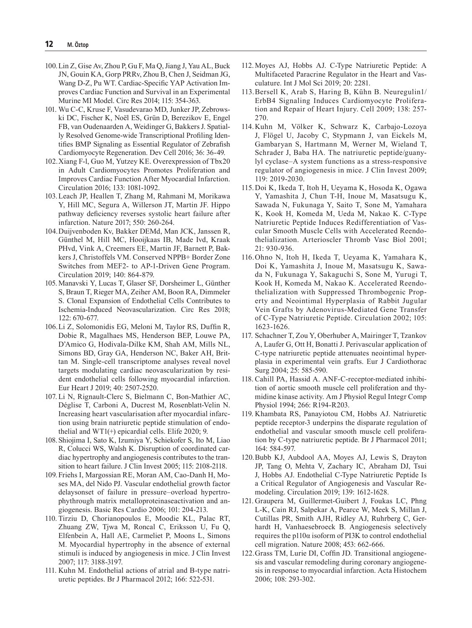- 100.Lin Z, Gise Av, Zhou P, Gu F, Ma Q, Jiang J, Yau AL, Buck JN, Gouin KA, Gorp PRRv, Zhou B, Chen J, Seidman JG, Wang D-Z, Pu WT. Cardiac-Specific YAP Activation Improves Cardiac Function and Survival in an Experimental Murine MI Model. Circ Res 2014; 115: 354-363.
- 101. Wu C-C, Kruse F, Vasudevarao MD, Junker JP, Zebrowski DC, Fischer K, Noël ES, Grün D, Berezikov E, Engel FB, van Oudenaarden A, Weidinger G, Bakkers J. Spatially Resolved Genome-wide Transcriptional Profiling Identifies BMP Signaling as Essential Regulator of Zebrafish Cardiomyocyte Regeneration. Dev Cell 2016; 36: 36-49.
- 102.Xiang F-l, Guo M, Yutzey KE. Overexpression of Tbx20 in Adult Cardiomyocytes Promotes Proliferation and Improves Cardiac Function After Myocardial Infarction. Circulation 2016; 133: 1081-1092.
- 103.Leach JP, Heallen T, Zhang M, Rahmani M, Morikawa Y, Hill MC, Segura A, Willerson JT, Martin JF. Hippo pathway deficiency reverses systolic heart failure after infarction. Nature 2017; 550: 260-264.
- 104.Duijvenboden Kv, Bakker DEMd, Man JCK, Janssen R, Günthel M, Hill MC, Hooijkaas IB, Made Ivd, Kraak PHvd, Vink A, Creemers EE, Martin JF, Barnett P, Bakkers J, Christoffels VM. Conserved NPPB+ Border Zone Switches from MEF2- to AP-1-Driven Gene Program. Circulation 2019; 140: 864-879.
- 105. Manavski Y, Lucas T, Glaser SF, Dorsheimer L, Günther S, Braun T, Rieger MA, Zeiher AM, Boon RA, Dimmeler S. Clonal Expansion of Endothelial Cells Contributes to Ischemia-Induced Neovascularization. Circ Res 2018; 122: 670-677.
- 106.Li Z, Solomonidis EG, Meloni M, Taylor RS, Duffin R, Dobie R, Magalhaes MS, Henderson BEP, Louwe PA, D'Amico G, Hodivala-Dilke KM, Shah AM, Mills NL, Simons BD, Gray GA, Henderson NC, Baker AH, Brittan M. Single-cell transcriptome analyses reveal novel targets modulating cardiac neovascularization by resident endothelial cells following myocardial infarction. Eur Heart J 2019; 40: 2507-2520.
- 107. Li N, Rignault-Clerc S, Bielmann C, Bon-Mathier AC, Déglise T, Carboni A, Ducrest M, Rosenblatt-Velin N. Increasing heart vascularisation after myocardial infarction using brain natriuretic peptide stimulation of endothelial and WT1(+) epicardial cells. Elife 2020; 9.
- 108.Shiojima I, Sato K, Izumiya Y, Schiekofer S, Ito M, Liao R, Colucci WS, Walsh K. Disruption of coordinated cardiac hypertrophy and angiogenesis contributes to the transition to heart failure. J Clin Invest 2005; 115: 2108-2118.
- 109.Friehs I, Margossian RE, Moran AM, Cao-Danh H, Moses MA, del Nido PJ. Vascular endothelial growth factor delaysonset of failure in pressure–overload hypertrophythrough matrix metalloproteinaseactivation and angiogenesis. Basic Res Cardio 2006; 101: 204-213.
- 110. Tirziu D, Chorianopoulos E, Moodie KL, Palac RT, Zhuang ZW, Tjwa M, Roncal C, Eriksson U, Fu Q, Elfenbein A, Hall AE, Carmeliet P, Moons L, Simons M. Myocardial hypertrophy in the absence of external stimuli is induced by angiogenesis in mice. J Clin Invest 2007; 117: 3188-3197.
- 111. Kuhn M. Endothelial actions of atrial and B-type natriuretic peptides. Br J Pharmacol 2012; 166: 522-531.
- 112.Moyes AJ, Hobbs AJ. C-Type Natriuretic Peptide: A Multifaceted Paracrine Regulator in the Heart and Vasculature. Int J Mol Sci 2019; 20: 2281.
- 113.Bersell K, Arab S, Haring B, Kühn B. Neuregulin1/ ErbB4 Signaling Induces Cardiomyocyte Proliferation and Repair of Heart Injury. Cell 2009; 138: 257- 270.
- 114.Kuhn M, Völker K, Schwarz K, Carbajo-Lozoya J, Flögel U, Jacoby C, Stypmann J, van Eickels M, Gambaryan S, Hartmann M, Werner M, Wieland T, Schrader J, Baba HA. The natriuretic peptide/guanylyl cyclase–A system functions as a stress-responsive regulator of angiogenesis in mice. J Clin Invest 2009; 119: 2019-2030.
- 115.Doi K, Ikeda T, Itoh H, Ueyama K, Hosoda K, Ogawa Y, Yamashita J, Chun T-H, Inoue M, Masatsugu K, Sawada N, Fukunaga Y, Saito T, Sone M, Yamahara K, Kook H, Komeda M, Ueda M, Nakao K. C-Type Natriuretic Peptide Induces Redifferentiation of Vascular Smooth Muscle Cells with Accelerated Reendothelialization. Arterioscler Thromb Vasc Biol 2001; 21: 930-936.
- 116.Ohno N, Itoh H, Ikeda T, Ueyama K, Yamahara K, Doi K, Yamashita J, Inoue M, Masatsugu K, Sawada N, Fukunaga Y, Sakaguchi S, Sone M, Yurugi T, Kook H, Komeda M, Nakao K. Accelerated Reendothelialization with Suppressed Thrombogenic Property and Neointimal Hyperplasia of Rabbit Jugular Vein Grafts by Adenovirus-Mediated Gene Transfer of C-Type Natriuretic Peptide. Circulation 2002; 105: 1623-1626.
- 117. Schachner T, Zou Y, Oberhuber A, Mairinger T, Tzankov A, Laufer G, Ott H, Bonatti J. Perivascular application of C-type natriuretic peptide attenuates neointimal hyperplasia in experimental vein grafts. Eur J Cardiothorac Surg 2004; 25: 585-590.
- 118. Cahill PA, Hassid A. ANF-C-receptor-mediated inhibition of aortic smooth muscle cell proliferation and thymidine kinase activity. Am J Physiol Regul Integr Comp Physiol 1994; 266: R194-R203.
- 119. Khambata RS, Panayiotou CM, Hobbs AJ. Natriuretic peptide receptor-3 underpins the disparate regulation of endothelial and vascular smooth muscle cell proliferation by C-type natriuretic peptide. Br J Pharmacol 2011; 164: 584-597.
- 120.Bubb KJ, Aubdool AA, Moyes AJ, Lewis S, Drayton JP, Tang O, Mehta V, Zachary IC, Abraham DJ, Tsui J, Hobbs AJ. Endothelial C-Type Natriuretic Peptide Is a Critical Regulator of Angiogenesis and Vascular Remodeling. Circulation 2019; 139: 1612-1628.
- 121. Graupera M, Guillermet-Guibert J, Foukas LC, Phng L-K, Cain RJ, Salpekar A, Pearce W, Meek S, Millan J, Cutillas PR, Smith AJH, Ridley AJ, Ruhrberg C, Gerhardt H, Vanhaesebroeck B. Angiogenesis selectively requires the p110α isoform of PI3K to control endothelial cell migration. Nature 2008; 453: 662-666.
- 122.Grass TM, Lurie DI, Coffin JD. Transitional angiogenesis and vascular remodeling during coronary angiogenesis in response to myocardial infarction. Acta Histochem 2006; 108: 293-302.